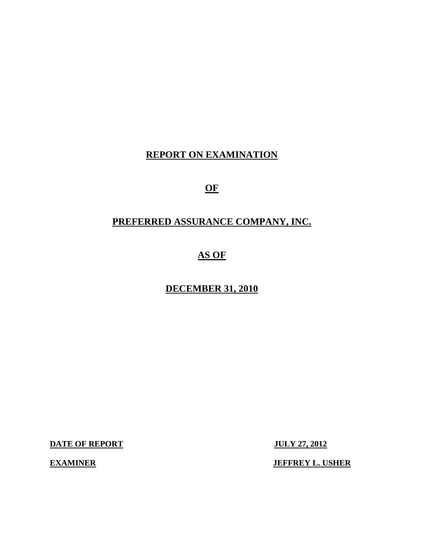# **REPORT ON EXAMINATION**

**OF** 

# **PREFERRED ASSURANCE COMPANY, INC.**

# **AS OF**

# **DECEMBER 31, 2010**

**DATE OF REPORT JULY 27, 2012** 

**EXAMINER** JEFFREY L. USHER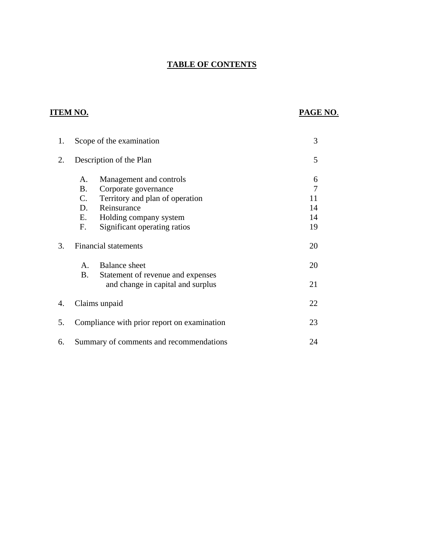# **TABLE OF CONTENTS**

# **ITEM NO.**

# **PAGE NO.**

| 1. |                                           | Scope of the examination                                                                                                                                    | 3                                           |
|----|-------------------------------------------|-------------------------------------------------------------------------------------------------------------------------------------------------------------|---------------------------------------------|
| 2. |                                           | Description of the Plan                                                                                                                                     | 5                                           |
|    | A.<br>Β.<br>$C_{\cdot}$<br>D.<br>E.<br>F. | Management and controls<br>Corporate governance<br>Territory and plan of operation<br>Reinsurance<br>Holding company system<br>Significant operating ratios | 6<br>$\overline{7}$<br>11<br>14<br>14<br>19 |
| 3. |                                           | <b>Financial statements</b>                                                                                                                                 | 20                                          |
|    | $A_{\cdot}$<br><b>B.</b>                  | <b>Balance</b> sheet<br>Statement of revenue and expenses<br>and change in capital and surplus                                                              | 20<br>21                                    |
| 4. |                                           | Claims unpaid                                                                                                                                               | 22                                          |
| 5. |                                           | Compliance with prior report on examination                                                                                                                 | 23                                          |
| 6. |                                           | Summary of comments and recommendations                                                                                                                     | 24                                          |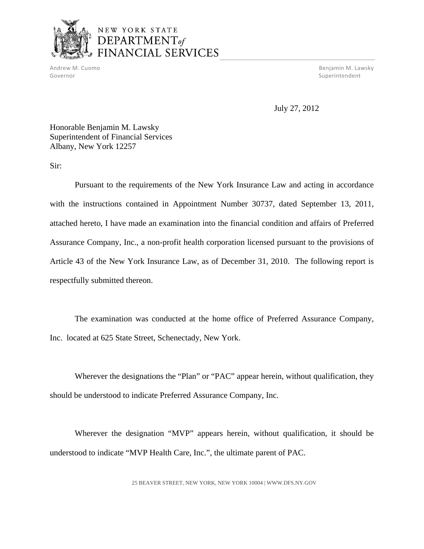

# NEW YORK STATE DEPARTMENT<sub>of</sub> FINANCIAL SERVICES

Governor Superintendent Superintendent Superintendent Superintendent Superintendent Superintendent Superintendent

Andrew M. Cuomo Benjamin M. Lawsky

July 27, 2012

Honorable Benjamin M. Lawsky Superintendent of Financial Services Albany, New York 12257

Sir:

Pursuant to the requirements of the New York Insurance Law and acting in accordance with the instructions contained in Appointment Number 30737, dated September 13, 2011, attached hereto, I have made an examination into the financial condition and affairs of Preferred Assurance Company, Inc., a non-profit health corporation licensed pursuant to the provisions of Article 43 of the New York Insurance Law, as of December 31, 2010. The following report is respectfully submitted thereon.

The examination was conducted at the home office of Preferred Assurance Company, Inc. located at 625 State Street, Schenectady, New York.

Wherever the designations the "Plan" or "PAC" appear herein, without qualification, they should be understood to indicate Preferred Assurance Company, Inc.

Wherever the designation "MVP" appears herein, without qualification, it should be understood to indicate "MVP Health Care, Inc.", the ultimate parent of PAC.

25 BEAVER STREET, NEW YORK, NEW YORK 10004 |<WWW.DFS.NY.GOV>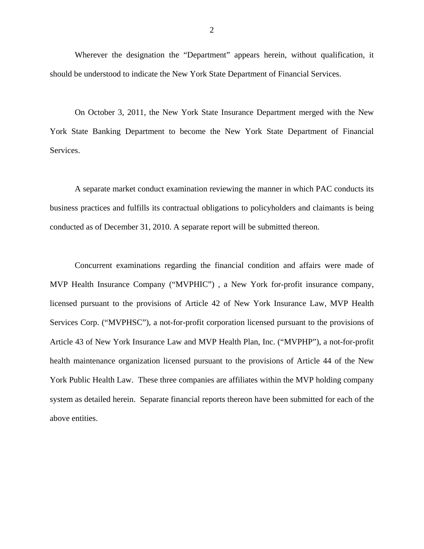Wherever the designation the "Department" appears herein, without qualification, it should be understood to indicate the New York State Department of Financial Services.

On October 3, 2011, the New York State Insurance Department merged with the New York State Banking Department to become the New York State Department of Financial Services.

A separate market conduct examination reviewing the manner in which PAC conducts its business practices and fulfills its contractual obligations to policyholders and claimants is being conducted as of December 31, 2010. A separate report will be submitted thereon.

Concurrent examinations regarding the financial condition and affairs were made of MVP Health Insurance Company ("MVPHIC") , a New York for-profit insurance company, licensed pursuant to the provisions of Article 42 of New York Insurance Law, MVP Health Services Corp. ("MVPHSC"), a not-for-profit corporation licensed pursuant to the provisions of Article 43 of New York Insurance Law and MVP Health Plan, Inc. ("MVPHP"), a not-for-profit health maintenance organization licensed pursuant to the provisions of Article 44 of the New York Public Health Law. These three companies are affiliates within the MVP holding company system as detailed herein. Separate financial reports thereon have been submitted for each of the above entities.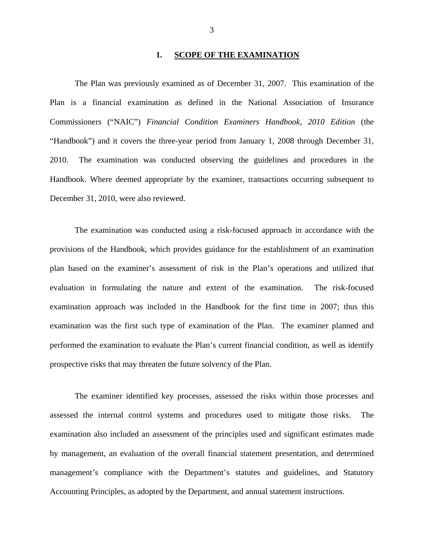#### **1. SCOPE OF THE EXAMINATION**

<span id="page-4-0"></span>The Plan was previously examined as of December 31, 2007. This examination of the Plan is a financial examination as defined in the National Association of Insurance Commissioners ("NAIC") *Financial Condition Examiners Handbook, 2010 Edition* (the "Handbook") and it covers the three-year period from January 1, 2008 through December 31, 2010. The examination was conducted observing the guidelines and procedures in the Handbook. Where deemed appropriate by the examiner, transactions occurring subsequent to December 31, 2010, were also reviewed.

examination approach was included in the Handbook for the first time in 2007; thus this The examination was conducted using a risk-focused approach in accordance with the provisions of the Handbook, which provides guidance for the establishment of an examination plan based on the examiner's assessment of risk in the Plan's operations and utilized that evaluation in formulating the nature and extent of the examination. The risk-focused examination was the first such type of examination of the Plan. The examiner planned and performed the examination to evaluate the Plan's current financial condition, as well as identify prospective risks that may threaten the future solvency of the Plan.

The examiner identified key processes, assessed the risks within those processes and assessed the internal control systems and procedures used to mitigate those risks. The examination also included an assessment of the principles used and significant estimates made by management, an evaluation of the overall financial statement presentation, and determined management's compliance with the Department's statutes and guidelines, and Statutory Accounting Principles, as adopted by the Department, and annual statement instructions.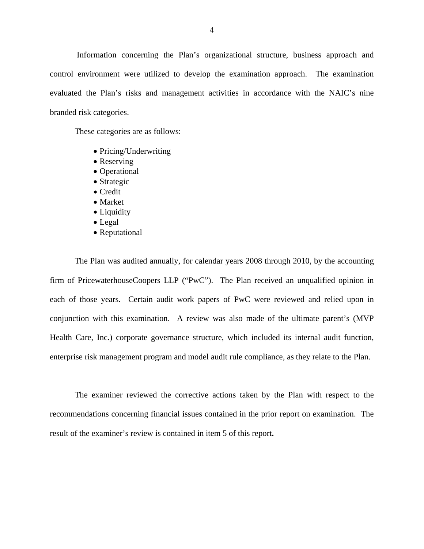Information concerning the Plan's organizational structure, business approach and control environment were utilized to develop the examination approach. The examination evaluated the Plan's risks and management activities in accordance with the NAIC's nine branded risk categories.

These categories are as follows:

- Pricing/Underwriting
- Reserving
- Operational
- Strategic
- Credit
- Market
- Liquidity
- Legal
- Reputational

The Plan was audited annually, for calendar years 2008 through 2010, by the accounting firm of PricewaterhouseCoopers LLP ("PwC"). The Plan received an unqualified opinion in each of those years. Certain audit work papers of PwC were reviewed and relied upon in conjunction with this examination. A review was also made of the ultimate parent's (MVP Health Care, Inc.) corporate governance structure, which included its internal audit function, enterprise risk management program and model audit rule compliance, as they relate to the Plan.

The examiner reviewed the corrective actions taken by the Plan with respect to the recommendations concerning financial issues contained in the prior report on examination. The result of the examiner's review is contained in item 5 of this report**.**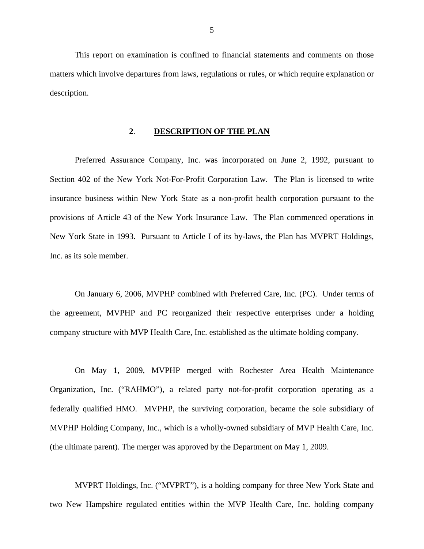<span id="page-6-0"></span>This report on examination is confined to financial statements and comments on those matters which involve departures from laws, regulations or rules, or which require explanation or description.

#### **2**. **DESCRIPTION OF THE PLAN**

Preferred Assurance Company, Inc. was incorporated on June 2, 1992, pursuant to Section 402 of the New York Not-For-Profit Corporation Law. The Plan is licensed to write insurance business within New York State as a non-profit health corporation pursuant to the provisions of Article 43 of the New York Insurance Law. The Plan commenced operations in New York State in 1993. Pursuant to Article I of its by-laws, the Plan has MVPRT Holdings, Inc. as its sole member.

On January 6, 2006, MVPHP combined with Preferred Care, Inc. (PC). Under terms of the agreement, MVPHP and PC reorganized their respective enterprises under a holding company structure with MVP Health Care, Inc. established as the ultimate holding company.

On May 1, 2009, MVPHP merged with Rochester Area Health Maintenance Organization, Inc. ("RAHMO"), a related party not-for-profit corporation operating as a federally qualified HMO. MVPHP, the surviving corporation, became the sole subsidiary of MVPHP Holding Company, Inc., which is a wholly-owned subsidiary of MVP Health Care, Inc. (the ultimate parent). The merger was approved by the Department on May 1, 2009.

MVPRT Holdings, Inc. ("MVPRT"), is a holding company for three New York State and two New Hampshire regulated entities within the MVP Health Care, Inc. holding company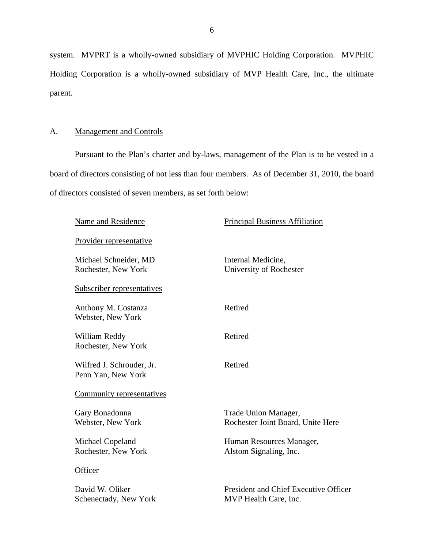system. MVPRT is a wholly-owned subsidiary of MVPHIC Holding Corporation. MVPHIC Holding Corporation is a wholly-owned subsidiary of MVP Health Care, Inc., the ultimate parent.

# A. Management and Controls

Pursuant to the Plan's charter and by-laws, management of the Plan is to be vested in a board of directors consisting of not less than four members. As of December 31, 2010, the board of directors consisted of seven members, as set forth below:

| Name and Residence                              | <b>Principal Business Affiliation</b>                          |
|-------------------------------------------------|----------------------------------------------------------------|
| <u>Provider representative</u>                  |                                                                |
| Michael Schneider, MD<br>Rochester, New York    | Internal Medicine,<br>University of Rochester                  |
| Subscriber representatives                      |                                                                |
| Anthony M. Costanza<br>Webster, New York        | Retired                                                        |
| William Reddy<br>Rochester, New York            | Retired                                                        |
| Wilfred J. Schrouder, Jr.<br>Penn Yan, New York | Retired                                                        |
| Community representatives                       |                                                                |
| Gary Bonadonna<br>Webster, New York             | Trade Union Manager,<br>Rochester Joint Board, Unite Here      |
| Michael Copeland<br>Rochester, New York         | Human Resources Manager,<br>Alstom Signaling, Inc.             |
| Officer                                         |                                                                |
| David W. Oliker<br>Schenectady, New York        | President and Chief Executive Officer<br>MVP Health Care, Inc. |
|                                                 |                                                                |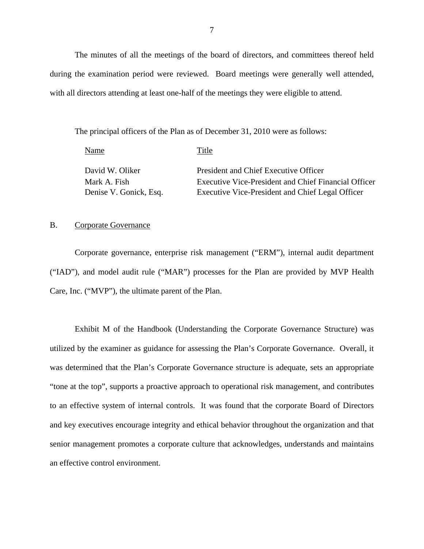The minutes of all the meetings of the board of directors, and committees thereof held during the examination period were reviewed. Board meetings were generally well attended, with all directors attending at least one-half of the meetings they were eligible to attend.

The principal officers of the Plan as of December 31, 2010 were as follows:

| Name                   | Title                                                       |
|------------------------|-------------------------------------------------------------|
| David W. Oliker        | President and Chief Executive Officer                       |
| Mark A. Fish           | <b>Executive Vice-President and Chief Financial Officer</b> |
| Denise V. Gonick, Esq. | Executive Vice-President and Chief Legal Officer            |

## B. Corporate Governance

Corporate governance, enterprise risk management ("ERM"), internal audit department ("IAD"), and model audit rule ("MAR") processes for the Plan are provided by MVP Health Care, Inc. ("MVP"), the ultimate parent of the Plan.

Exhibit M of the Handbook (Understanding the Corporate Governance Structure) was utilized by the examiner as guidance for assessing the Plan's Corporate Governance. Overall, it was determined that the Plan's Corporate Governance structure is adequate, sets an appropriate "tone at the top", supports a proactive approach to operational risk management, and contributes to an effective system of internal controls. It was found that the corporate Board of Directors and key executives encourage integrity and ethical behavior throughout the organization and that senior management promotes a corporate culture that acknowledges, understands and maintains an effective control environment.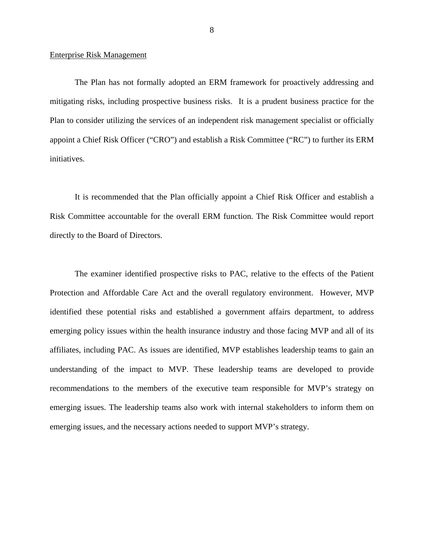#### Enterprise Risk Management

The Plan has not formally adopted an ERM framework for proactively addressing and mitigating risks, including prospective business risks. It is a prudent business practice for the Plan to consider utilizing the services of an independent risk management specialist or officially appoint a Chief Risk Officer ("CRO") and establish a Risk Committee ("RC") to further its ERM initiatives.

It is recommended that the Plan officially appoint a Chief Risk Officer and establish a Risk Committee accountable for the overall ERM function. The Risk Committee would report directly to the Board of Directors.

The examiner identified prospective risks to PAC, relative to the effects of the Patient Protection and Affordable Care Act and the overall regulatory environment. However, MVP identified these potential risks and established a government affairs department, to address emerging policy issues within the health insurance industry and those facing MVP and all of its affiliates, including PAC. As issues are identified, MVP establishes leadership teams to gain an understanding of the impact to MVP. These leadership teams are developed to provide recommendations to the members of the executive team responsible for MVP's strategy on emerging issues. The leadership teams also work with internal stakeholders to inform them on emerging issues, and the necessary actions needed to support MVP's strategy.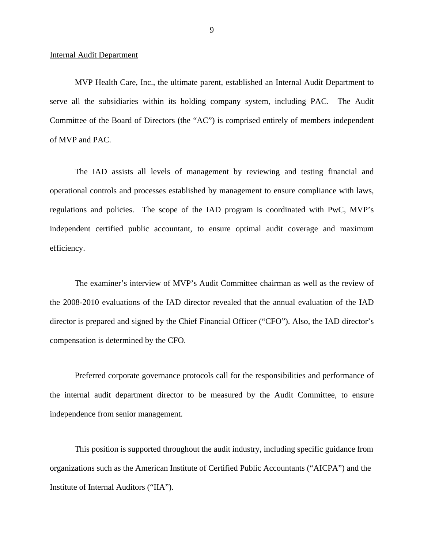#### Internal Audit Department

MVP Health Care, Inc., the ultimate parent, established an Internal Audit Department to serve all the subsidiaries within its holding company system, including PAC. The Audit Committee of the Board of Directors (the "AC") is comprised entirely of members independent of MVP and PAC.

The IAD assists all levels of management by reviewing and testing financial and operational controls and processes established by management to ensure compliance with laws, regulations and policies. The scope of the IAD program is coordinated with PwC, MVP's independent certified public accountant, to ensure optimal audit coverage and maximum efficiency.

The examiner's interview of MVP's Audit Committee chairman as well as the review of the 2008-2010 evaluations of the IAD director revealed that the annual evaluation of the IAD director is prepared and signed by the Chief Financial Officer ("CFO"). Also, the IAD director's compensation is determined by the CFO.

Preferred corporate governance protocols call for the responsibilities and performance of the internal audit department director to be measured by the Audit Committee, to ensure independence from senior management.

This position is supported throughout the audit industry, including specific guidance from organizations such as the American Institute of Certified Public Accountants ("AICPA") and the Institute of Internal Auditors ("IIA").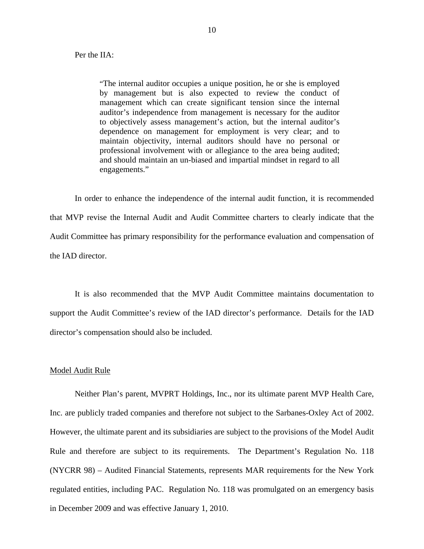"The internal auditor occupies a unique position, he or she is employed by management but is also expected to review the conduct of management which can create significant tension since the internal auditor's independence from management is necessary for the auditor to objectively assess management's action, but the internal auditor's dependence on management for employment is very clear; and to maintain objectivity, internal auditors should have no personal or professional involvement with or allegiance to the area being audited; and should maintain an un-biased and impartial mindset in regard to all engagements."

In order to enhance the independence of the internal audit function, it is recommended that MVP revise the Internal Audit and Audit Committee charters to clearly indicate that the Audit Committee has primary responsibility for the performance evaluation and compensation of the IAD director.

It is also recommended that the MVP Audit Committee maintains documentation to support the Audit Committee's review of the IAD director's performance. Details for the IAD director's compensation should also be included.

#### Model Audit Rule

Neither Plan's parent, MVPRT Holdings, Inc., nor its ultimate parent MVP Health Care, Inc. are publicly traded companies and therefore not subject to the Sarbanes-Oxley Act of 2002. However, the ultimate parent and its subsidiaries are subject to the provisions of the Model Audit Rule and therefore are subject to its requirements. The Department's Regulation No. 118 (NYCRR 98) – Audited Financial Statements, represents MAR requirements for the New York regulated entities, including PAC. Regulation No. 118 was promulgated on an emergency basis in December 2009 and was effective January 1, 2010.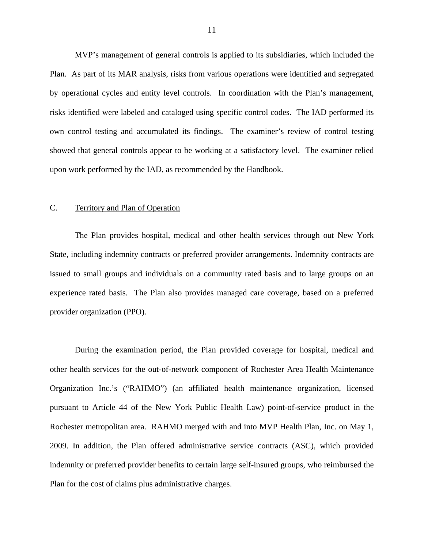<span id="page-12-0"></span>MVP's management of general controls is applied to its subsidiaries, which included the Plan. As part of its MAR analysis, risks from various operations were identified and segregated by operational cycles and entity level controls. In coordination with the Plan's management, risks identified were labeled and cataloged using specific control codes. The IAD performed its own control testing and accumulated its findings. The examiner's review of control testing showed that general controls appear to be working at a satisfactory level. The examiner relied upon work performed by the IAD, as recommended by the Handbook.

## C. Territory and Plan of Operation

The Plan provides hospital, medical and other health services through out New York State, including indemnity contracts or preferred provider arrangements. Indemnity contracts are issued to small groups and individuals on a community rated basis and to large groups on an experience rated basis. The Plan also provides managed care coverage, based on a preferred provider organization (PPO).

During the examination period, the Plan provided coverage for hospital, medical and other health services for the out-of-network component of Rochester Area Health Maintenance Organization Inc.'s ("RAHMO") (an affiliated health maintenance organization, licensed pursuant to Article 44 of the New York Public Health Law) point-of-service product in the Rochester metropolitan area. RAHMO merged with and into MVP Health Plan, Inc. on May 1, 2009. In addition, the Plan offered administrative service contracts (ASC), which provided indemnity or preferred provider benefits to certain large self-insured groups, who reimbursed the Plan for the cost of claims plus administrative charges.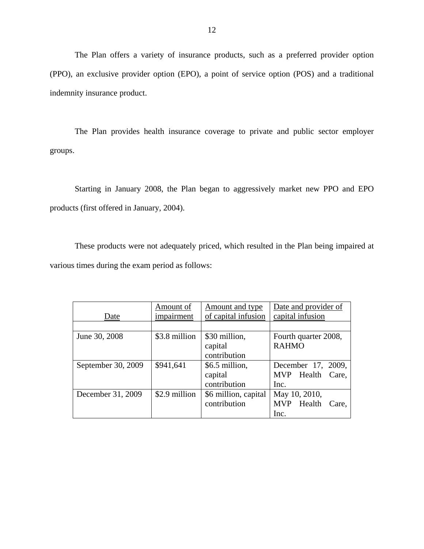The Plan offers a variety of insurance products, such as a preferred provider option (PPO), an exclusive provider option (EPO), a point of service option (POS) and a traditional indemnity insurance product.

The Plan provides health insurance coverage to private and public sector employer groups.

Starting in January 2008, the Plan began to aggressively market new PPO and EPO products (first offered in January, 2004).

These products were not adequately priced, which resulted in the Plan being impaired at various times during the exam period as follows:

|                    | Amount of     | <b>Amount and type</b> | Date and provider of |
|--------------------|---------------|------------------------|----------------------|
| Date               | impairment    | of capital infusion    | capital infusion     |
|                    |               |                        |                      |
| June 30, 2008      | \$3.8 million | \$30 million,          | Fourth quarter 2008, |
|                    |               | capital                | <b>RAHMO</b>         |
|                    |               | contribution           |                      |
| September 30, 2009 | \$941,641     | \$6.5 million,         | December 17, 2009,   |
|                    |               | capital                | MVP Health<br>Care.  |
|                    |               | contribution           | Inc.                 |
| December 31, 2009  | \$2.9 million | \$6 million, capital   | May 10, 2010,        |
|                    |               | contribution           | MVP Health<br>Care.  |
|                    |               |                        | Inc.                 |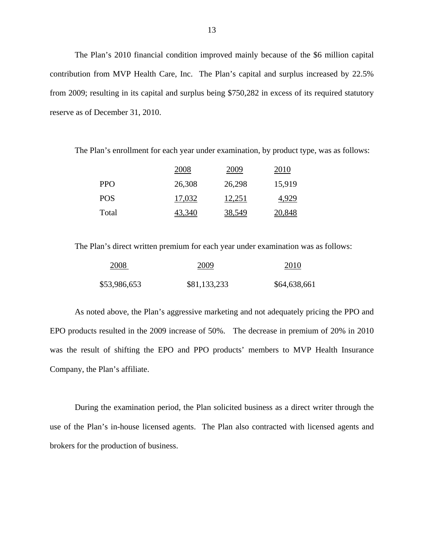The Plan's 2010 financial condition improved mainly because of the \$6 million capital contribution from MVP Health Care, Inc. The Plan's capital and surplus increased by 22.5% from 2009; resulting in its capital and surplus being \$750,282 in excess of its required statutory reserve as of December 31, 2010.

The Plan's enrollment for each year under examination, by product type, was as follows:

|            | 2008          | 2009          | 2010          |
|------------|---------------|---------------|---------------|
| <b>PPO</b> | 26,308        | 26,298        | 15,919        |
| POS.       | 17,032        | 12,251        | 4.929         |
| Total      | <u>43.340</u> | <u>38,549</u> | <u>20.848</u> |

The Plan's direct written premium for each year under examination was as follows:

| 2008         | 2009         | 2010         |
|--------------|--------------|--------------|
| \$53,986,653 | \$81,133,233 | \$64,638,661 |

As noted above, the Plan's aggressive marketing and not adequately pricing the PPO and EPO products resulted in the 2009 increase of 50%. The decrease in premium of 20% in 2010 was the result of shifting the EPO and PPO products' members to MVP Health Insurance Company, the Plan's affiliate.

During the examination period, the Plan solicited business as a direct writer through the use of the Plan's in-house licensed agents. The Plan also contracted with licensed agents and brokers for the production of business.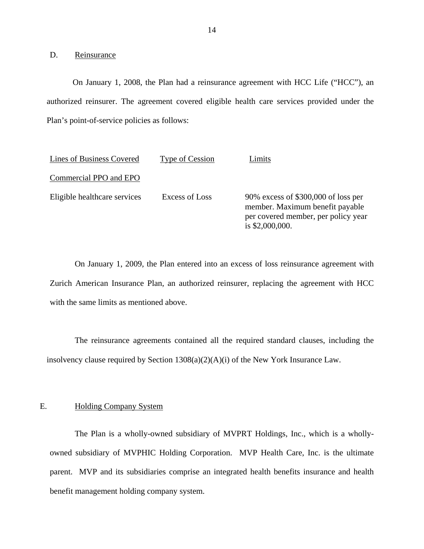D. Reinsurance

On January 1, 2008, the Plan had a reinsurance agreement with HCC Life ("HCC"), an authorized reinsurer. The agreement covered eligible health care services provided under the Plan's point-of-service policies as follows:

| Lines of Business Covered    | Type of Cession | timits                                                                                                                           |
|------------------------------|-----------------|----------------------------------------------------------------------------------------------------------------------------------|
| Commercial PPO and EPO       |                 |                                                                                                                                  |
| Eligible healthcare services | Excess of Loss  | 90% excess of \$300,000 of loss per<br>member. Maximum benefit payable<br>per covered member, per policy year<br>is \$2,000,000. |

On January 1, 2009, the Plan entered into an excess of loss reinsurance agreement with Zurich American Insurance Plan, an authorized reinsurer, replacing the agreement with HCC with the same limits as mentioned above.

The reinsurance agreements contained all the required standard clauses, including the insolvency clause required by Section 1308(a)(2)(A)(i) of the New York Insurance Law.

#### **Holding Company System**

E. Holding Company System<br>The Plan is a wholly-owned subsidiary of MVPRT Holdings, Inc., which is a whollyowned subsidiary of MVPHIC Holding Corporation. MVP Health Care, Inc. is the ultimate parent. MVP and its subsidiaries comprise an integrated health benefits insurance and health benefit management holding company system.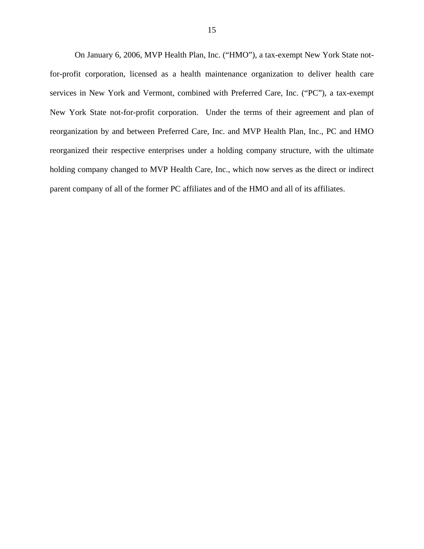On January 6, 2006, MVP Health Plan, Inc. ("HMO"), a tax-exempt New York State notfor-profit corporation, licensed as a health maintenance organization to deliver health care services in New York and Vermont, combined with Preferred Care, Inc. ("PC"), a tax-exempt New York State not-for-profit corporation. Under the terms of their agreement and plan of reorganization by and between Preferred Care, Inc. and MVP Health Plan, Inc., PC and HMO reorganized their respective enterprises under a holding company structure, with the ultimate holding company changed to MVP Health Care, Inc., which now serves as the direct or indirect parent company of all of the former PC affiliates and of the HMO and all of its affiliates.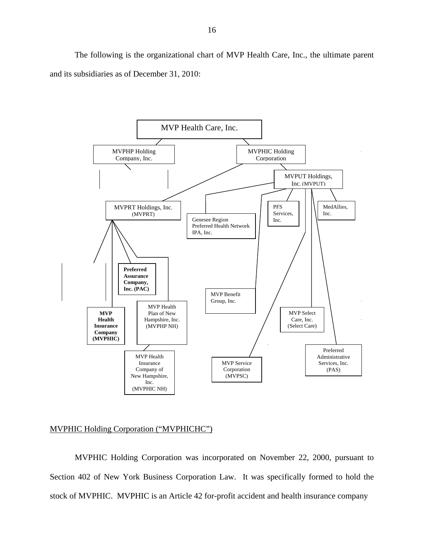The following is the organizational chart of MVP Health Care, Inc., the ultimate parent and its subsidiaries as of December 31, 2010:



## MVPHIC Holding Corporation ("MVPHICHC")

MVPHIC Holding Corporation was incorporated on November 22, 2000, pursuant to Section 402 of New York Business Corporation Law. It was specifically formed to hold the stock of MVPHIC. MVPHIC is an Article 42 for-profit accident and health insurance company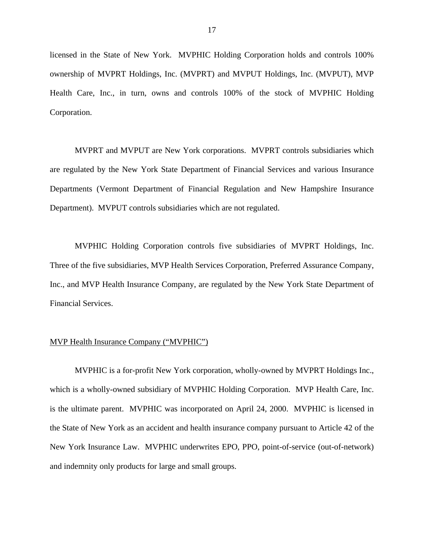licensed in the State of New York. MVPHIC Holding Corporation holds and controls 100% ownership of MVPRT Holdings, Inc. (MVPRT) and MVPUT Holdings, Inc. (MVPUT), MVP Health Care, Inc., in turn, owns and controls 100% of the stock of MVPHIC Holding Corporation.

MVPRT and MVPUT are New York corporations. MVPRT controls subsidiaries which are regulated by the New York State Department of Financial Services and various Insurance Departments (Vermont Department of Financial Regulation and New Hampshire Insurance Department). MVPUT controls subsidiaries which are not regulated.

MVPHIC Holding Corporation controls five subsidiaries of MVPRT Holdings, Inc. Three of the five subsidiaries, MVP Health Services Corporation, Preferred Assurance Company, Inc., and MVP Health Insurance Company, are regulated by the New York State Department of Financial Services.

#### MVP Health Insurance Company ("MVPHIC")

MVPHIC is a for-profit New York corporation, wholly-owned by MVPRT Holdings Inc., which is a wholly-owned subsidiary of MVPHIC Holding Corporation. MVP Health Care, Inc. is the ultimate parent. MVPHIC was incorporated on April 24, 2000. MVPHIC is licensed in the State of New York as an accident and health insurance company pursuant to Article 42 of the New York Insurance Law. MVPHIC underwrites EPO, PPO, point-of-service (out-of-network) and indemnity only products for large and small groups.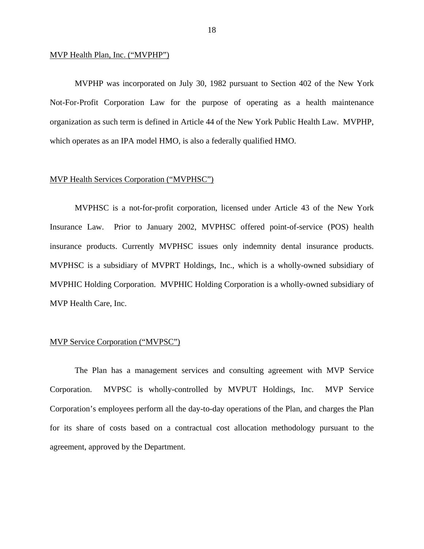#### MVP Health Plan, Inc. ("MVPHP")

MVPHP was incorporated on July 30, 1982 pursuant to Section 402 of the New York Not-For-Profit Corporation Law for the purpose of operating as a health maintenance organization as such term is defined in Article 44 of the New York Public Health Law. MVPHP, which operates as an IPA model HMO, is also a federally qualified HMO.

#### MVP Health Services Corporation ("MVPHSC")

MVPHSC is a not-for-profit corporation, licensed under Article 43 of the New York Insurance Law. Prior to January 2002, MVPHSC offered point-of-service (POS) health insurance products. Currently MVPHSC issues only indemnity dental insurance products. MVPHSC is a subsidiary of MVPRT Holdings, Inc., which is a wholly-owned subsidiary of MVPHIC Holding Corporation. MVPHIC Holding Corporation is a wholly-owned subsidiary of MVP Health Care, Inc.

#### MVP Service Corporation ("MVPSC")

The Plan has a management services and consulting agreement with MVP Service Corporation. MVPSC is wholly-controlled by MVPUT Holdings, Inc. MVP Service Corporation's employees perform all the day-to-day operations of the Plan, and charges the Plan for its share of costs based on a contractual cost allocation methodology pursuant to the agreement, approved by the Department.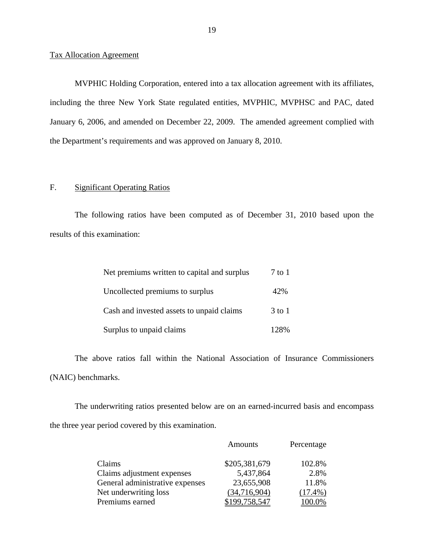#### Tax Allocation Agreement

MVPHIC Holding Corporation, entered into a tax allocation agreement with its affiliates, including the three New York State regulated entities, MVPHIC, MVPHSC and PAC, dated January 6, 2006, and amended on December 22, 2009. The amended agreement complied with the Department's requirements and was approved on January 8, 2010.

## F. Significant Operating Ratios

The following ratios have been computed as of December 31, 2010 based upon the results of this examination:

| Net premiums written to capital and surplus | 7 to 1     |
|---------------------------------------------|------------|
| Uncollected premiums to surplus             | 42%        |
| Cash and invested assets to unpaid claims   | $3$ to $1$ |
| Surplus to unpaid claims                    | 12.8%      |

The above ratios fall within the National Association of Insurance Commissioners (NAIC) benchmarks.

The underwriting ratios presented below are on an earned-incurred basis and encompass the three year period covered by this examination.

|                                 | <b>Amounts</b> | Percentage |
|---------------------------------|----------------|------------|
| Claims                          | \$205,381,679  | 102.8%     |
| Claims adjustment expenses      | 5,437,864      | 2.8%       |
| General administrative expenses | 23,655,908     | 11.8%      |
| Net underwriting loss           | (34,716,904)   | $(17.4\%)$ |
| Premiums earned                 | 199.758,547    |            |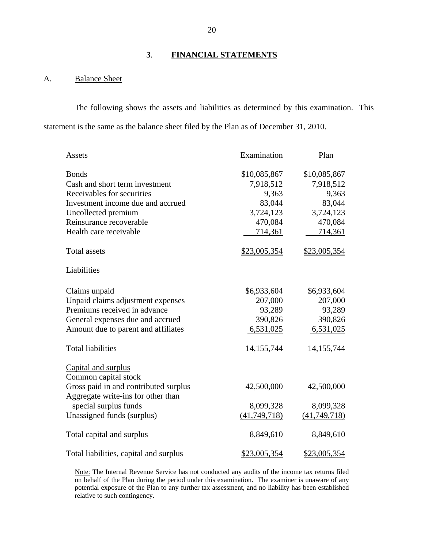# **3**. **FINANCIAL STATEMENTS**

## A. Balance Sheet

The following shows the assets and liabilities as determined by this examination. This statement is the same as the balance sheet filed by the Plan as of December 31, 2010.

| Assets                                 | Examination         | Plan                |
|----------------------------------------|---------------------|---------------------|
| <b>Bonds</b>                           | \$10,085,867        | \$10,085,867        |
| Cash and short term investment         | 7,918,512           | 7,918,512           |
| Receivables for securities             | 9,363               | 9,363               |
| Investment income due and accrued      | 83,044              | 83,044              |
| Uncollected premium                    | 3,724,123           | 3,724,123           |
| Reinsurance recoverable                | 470,084             | 470,084             |
| Health care receivable                 | 714,361             | 714,361             |
| <b>Total assets</b>                    | \$23,005,354        | \$23,005,354        |
| Liabilities                            |                     |                     |
| Claims unpaid                          | \$6,933,604         | \$6,933,604         |
| Unpaid claims adjustment expenses      | 207,000             | 207,000             |
| Premiums received in advance           | 93,289              | 93,289              |
| General expenses due and accrued       | 390,826             | 390,826             |
| Amount due to parent and affiliates    | 6,531,025           | 6,531,025           |
| <b>Total liabilities</b>               | 14, 155, 744        | 14, 155, 744        |
| Capital and surplus                    |                     |                     |
| Common capital stock                   |                     |                     |
| Gross paid in and contributed surplus  | 42,500,000          | 42,500,000          |
| Aggregate write-ins for other than     |                     |                     |
| special surplus funds                  | 8,099,328           | 8,099,328           |
| Unassigned funds (surplus)             | (41, 749, 718)      | (41,749,718)        |
| Total capital and surplus              | 8,849,610           | 8,849,610           |
| Total liabilities, capital and surplus | <u>\$23,005,354</u> | <u>\$23,005,354</u> |

on behalf of the Plan during the period under this examination. The examiner is unaware of any Note: The Internal Revenue Service has not conducted any audits of the income tax returns filed potential exposure of the Plan to any further tax assessment, and no liability has been established relative to such contingency.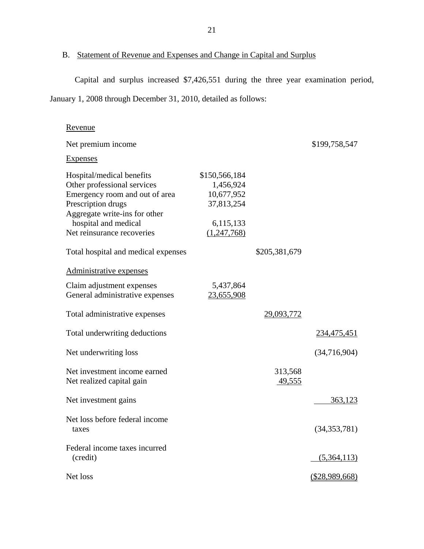# B. Statement of Revenue and Expenses and Change in Capital and Surplus

Capital and surplus increased \$7,426,551 during the three year examination period, January 1, 2008 through December 31, 2010, detailed as follows:

| Revenue                                                                                                                                                                                                 |                                                                     |                   |                |
|---------------------------------------------------------------------------------------------------------------------------------------------------------------------------------------------------------|---------------------------------------------------------------------|-------------------|----------------|
| Net premium income                                                                                                                                                                                      |                                                                     |                   | \$199,758,547  |
| <b>Expenses</b>                                                                                                                                                                                         |                                                                     |                   |                |
| Hospital/medical benefits<br>Other professional services<br>Emergency room and out of area<br>Prescription drugs<br>Aggregate write-ins for other<br>hospital and medical<br>Net reinsurance recoveries | \$150,566,184<br>1,456,924<br>10,677,952<br>37,813,254<br>6,115,133 |                   |                |
|                                                                                                                                                                                                         | (1,247,768)                                                         |                   |                |
| Total hospital and medical expenses                                                                                                                                                                     |                                                                     | \$205,381,679     |                |
| Administrative expenses                                                                                                                                                                                 |                                                                     |                   |                |
| Claim adjustment expenses<br>General administrative expenses                                                                                                                                            | 5,437,864<br>23,655,908                                             |                   |                |
| Total administrative expenses                                                                                                                                                                           |                                                                     | 29,093,772        |                |
| Total underwriting deductions                                                                                                                                                                           |                                                                     |                   | 234,475,451    |
| Net underwriting loss                                                                                                                                                                                   |                                                                     |                   | (34,716,904)   |
| Net investment income earned<br>Net realized capital gain                                                                                                                                               |                                                                     | 313,568<br>49,555 |                |
| Net investment gains                                                                                                                                                                                    |                                                                     |                   | 363,123        |
| Net loss before federal income<br>taxes                                                                                                                                                                 |                                                                     |                   | (34, 353, 781) |
| Federal income taxes incurred<br>(credit)                                                                                                                                                               |                                                                     |                   | (5,364,113)    |
| Net loss                                                                                                                                                                                                |                                                                     |                   | (\$28,989,668) |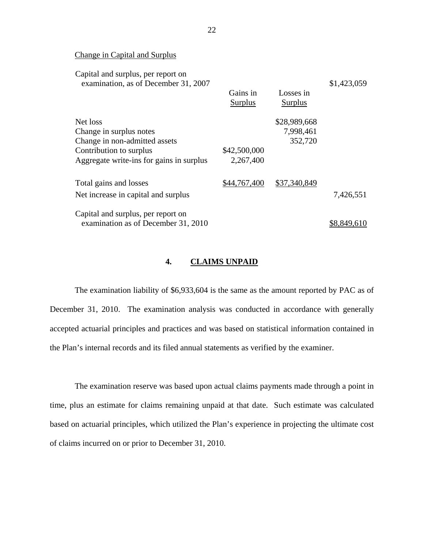Change in Capital and Surplus

| Capital and surplus, per report on<br>examination, as of December 31, 2007 |              |              | \$1,423,059 |
|----------------------------------------------------------------------------|--------------|--------------|-------------|
|                                                                            | Gains in     | Losses in    |             |
|                                                                            | Surplus      | Surplus      |             |
| Net loss                                                                   |              | \$28,989,668 |             |
| Change in surplus notes                                                    |              | 7,998,461    |             |
| Change in non-admitted assets                                              |              | 352,720      |             |
| Contribution to surplus                                                    | \$42,500,000 |              |             |
| Aggregate write-ins for gains in surplus                                   | 2,267,400    |              |             |
| Total gains and losses                                                     | \$44,767,400 | \$37,340,849 |             |
| Net increase in capital and surplus                                        |              |              | 7,426,551   |
| Capital and surplus, per report on                                         |              |              |             |
| examination as of December 31, 2010                                        |              |              | \$8.849.6   |

#### **4. CLAIMS UNPAID**

The examination liability of \$6,933,604 is the same as the amount reported by PAC as of December 31, 2010. The examination analysis was conducted in accordance with generally accepted actuarial principles and practices and was based on statistical information contained in the Plan's internal records and its filed annual statements as verified by the examiner.

The examination reserve was based upon actual claims payments made through a point in time, plus an estimate for claims remaining unpaid at that date. Such estimate was calculated based on actuarial principles, which utilized the Plan's experience in projecting the ultimate cost of claims incurred on or prior to December 31, 2010.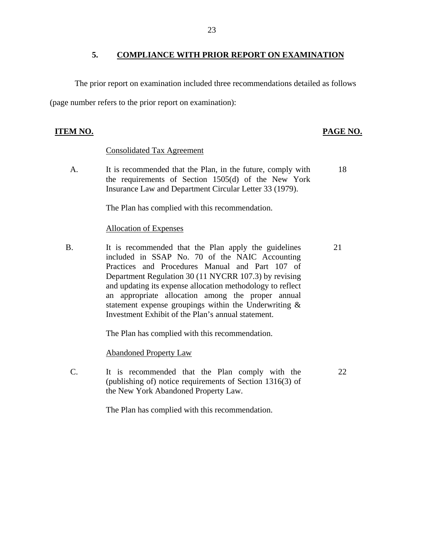## **5. COMPLIANCE WITH PRIOR REPORT ON EXAMINATION**

The prior report on examination included three recommendations detailed as follows (page number refers to the prior report on examination):

# **ITEM NO. PAGE NO. PAGE NO.**

22

## Consolidated Tax Agreement

A. It is recommended that the Plan, in the future, comply with the requirements of Section 1505(d) of the New York Insurance Law and Department Circular Letter 33 (1979). 18

The Plan has complied with this recommendation.

### Allocation of Expenses

B. It is recommended that the Plan apply the guidelines included in SSAP No. 70 of the NAIC Accounting Practices and Procedures Manual and Part 107 of Department Regulation 30 (11 NYCRR 107.3) by revising and updating its expense allocation methodology to reflect an appropriate allocation among the proper annual statement expense groupings within the Underwriting & Investment Exhibit of the Plan's annual statement. 21

The Plan has complied with this recommendation.

Abandoned Property Law

C. It is recommended that the Plan comply with the (publishing of) notice requirements of Section 1316(3) of the New York Abandoned Property Law.

The Plan has complied with this recommendation.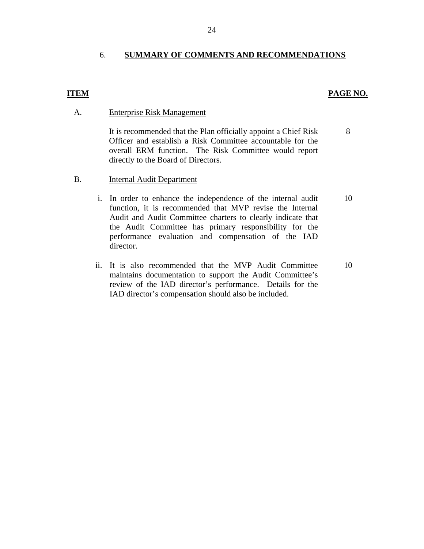## 6. **SUMMARY OF COMMENTS AND RECOMMENDATIONS**

## **ITEM PAGE NO.**

8

#### A. Enterprise Risk Management

It is recommended that the Plan officially appoint a Chief Risk Officer and establish a Risk Committee accountable for the overall ERM function. The Risk Committee would report directly to the Board of Directors.

- B. Internal Audit Department
	- i. In order to enhance the independence of the internal audit function, it is recommended that MVP revise the Internal Audit and Audit Committee charters to clearly indicate that the Audit Committee has primary responsibility for the performance evaluation and compensation of the IAD director. 10
	- ii. It is also recommended that the MVP Audit Committee maintains documentation to support the Audit Committee's review of the IAD director's performance. Details for the IAD director's compensation should also be included. 10